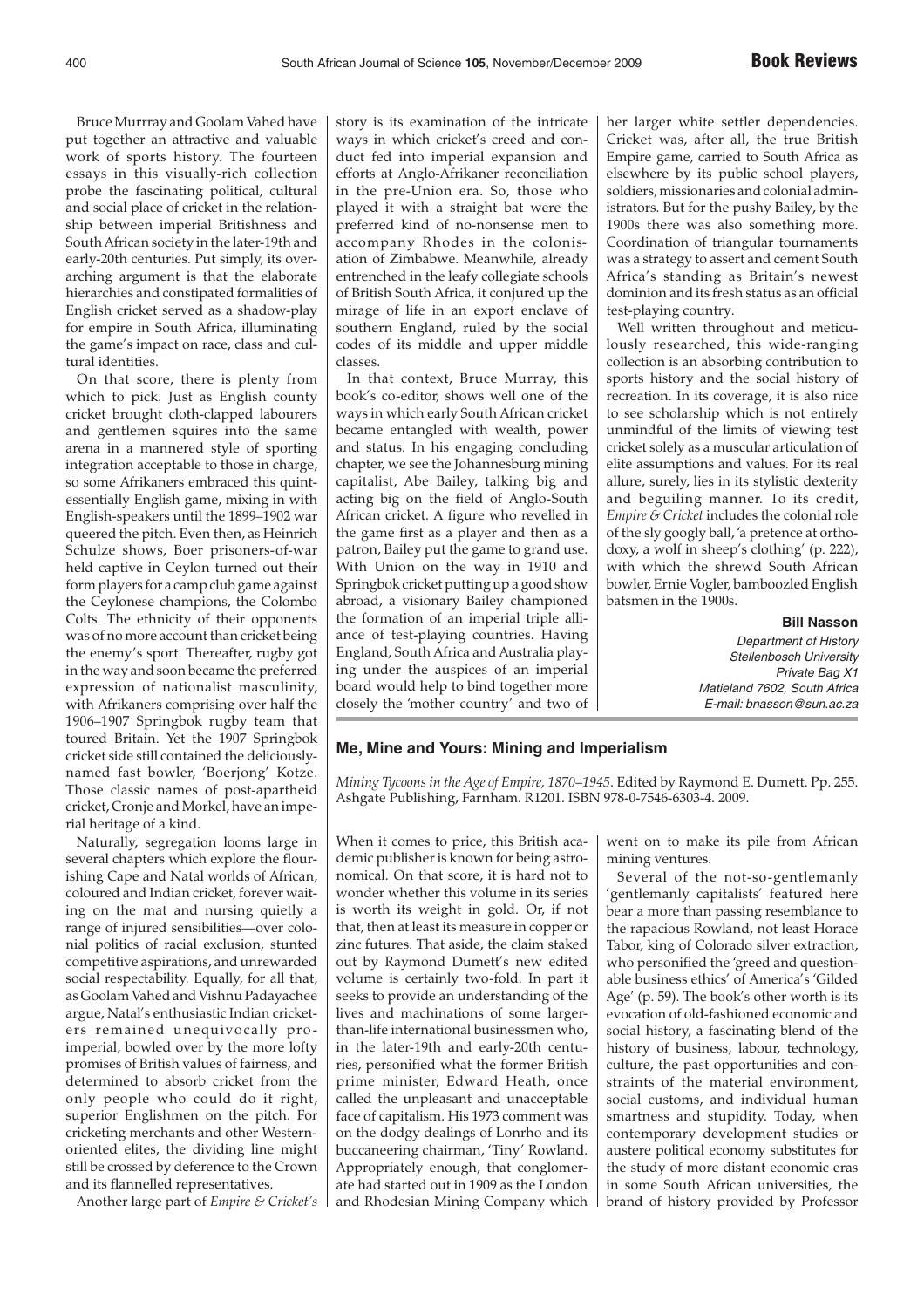## **Me, Mine and Yours: Mining and Imperialism**

*Mining Tycoons in the Age of Empire, 1870–1945*. Edited by Raymond E. Dumett. Pp. 255. Ashgate Publishing, Farnham. R1201. ISBN 978-0-7546-6303-4. 2009.

When it comes to price, this British academic publisher is known for being astronomical. On that score, it is hard not to wonder whether this volume in its series is worth its weight in gold. Or, if not that, then at least its measure in copper or zinc futures. That aside, the claim staked out by Raymond Dumett's new edited volume is certainly two-fold. In part it seeks to provide an understanding of the lives and machinations of some largerthan-life international businessmen who, in the later-19th and early-20th centuries, personified what the former British prime minister, Edward Heath, once called the unpleasant and unacceptable face of capitalism. His 1973 comment was on the dodgy dealings of Lonrho and its buccaneering chairman, 'Tiny' Rowland. Appropriately enough, that conglomerate had started out in 1909 as the London and Rhodesian Mining Company which went on to make its pile from African mining ventures.

Several of the not-so-gentlemanly 'gentlemanly capitalists' featured here bear a more than passing resemblance to the rapacious Rowland, not least Horace Tabor, king of Colorado silver extraction, who personified the 'greed and questionable business ethics' of America's 'Gilded Age' (p. 59). The book's other worth is its evocation of old-fashioned economic and social history, a fascinating blend of the history of business, labour, technology, culture, the past opportunities and constraints of the material environment, social customs, and individual human smartness and stupidity. Today, when contemporary development studies or austere political economy substitutes for the study of more distant economic eras in some South African universities, the brand of history provided by Professor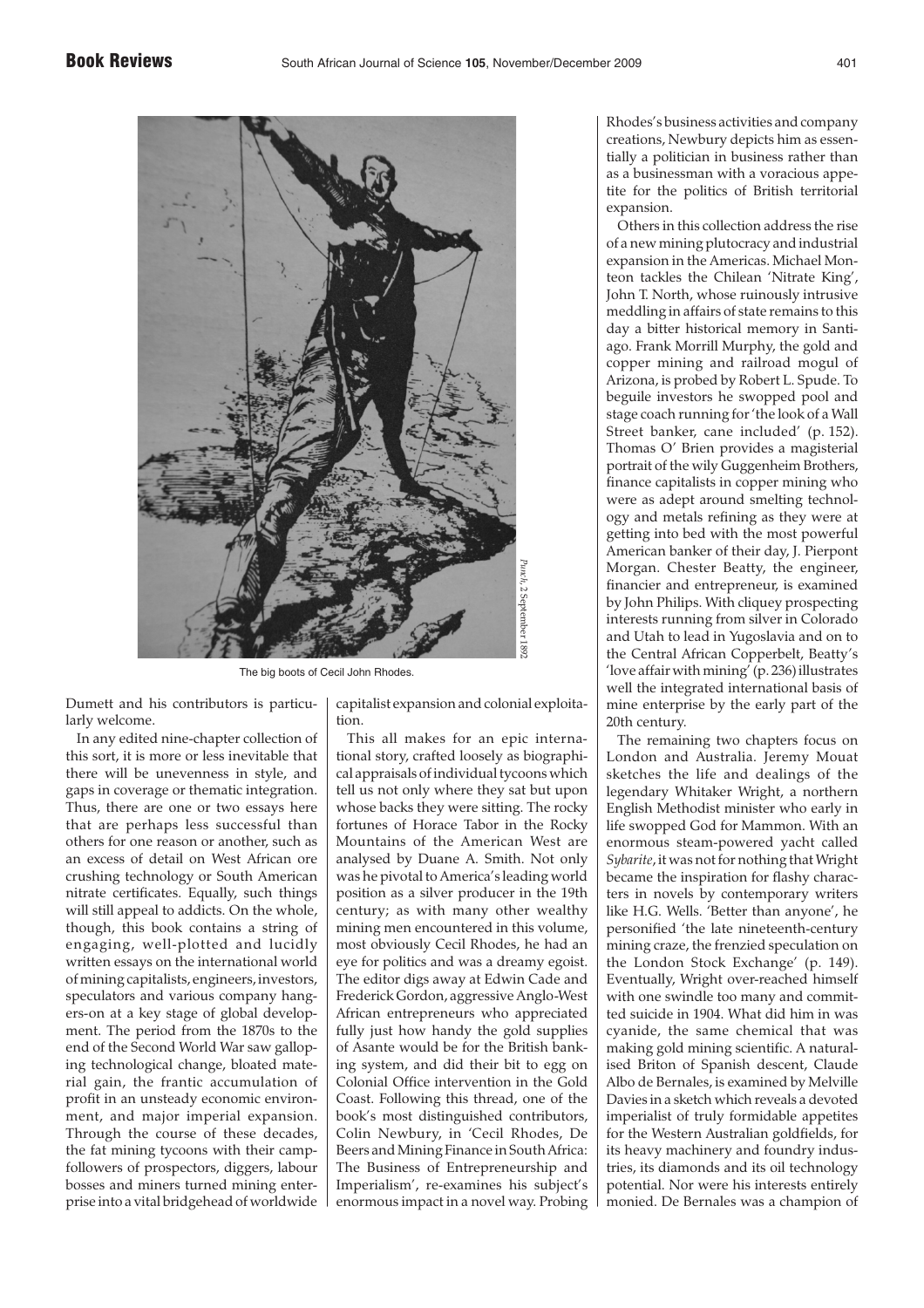

The big boots of Cecil John Rhodes.

Dumett and his contributors is particularly welcome.

In any edited nine-chapter collection of this sort, it is more or less inevitable that there will be unevenness in style, and gaps in coverage or thematic integration. Thus, there are one or two essays here that are perhaps less successful than others for one reason or another, such as an excess of detail on West African ore crushing technology or South American nitrate certificates. Equally, such things will still appeal to addicts. On the whole, though, this book contains a string of engaging, well-plotted and lucidly written essays on the international world of mining capitalists, engineers, investors, speculators and various company hangers-on at a key stage of global development. The period from the 1870s to the end of the Second World War saw galloping technological change, bloated material gain, the frantic accumulation of profit in an unsteady economic environment, and major imperial expansion. Through the course of these decades, the fat mining tycoons with their campfollowers of prospectors, diggers, labour bosses and miners turned mining enterprise into a vital bridgehead of worldwide capitalist expansion and colonial exploitation.

This all makes for an epic international story, crafted loosely as biographical appraisals of individual tycoons which tell us not only where they sat but upon whose backs they were sitting. The rocky fortunes of Horace Tabor in the Rocky Mountains of the American West are analysed by Duane A. Smith. Not only was he pivotal to America's leading world position as a silver producer in the 19th century; as with many other wealthy mining men encountered in this volume, most obviously Cecil Rhodes, he had an eye for politics and was a dreamy egoist. The editor digs away at Edwin Cade and Frederick Gordon, aggressive Anglo-West African entrepreneurs who appreciated fully just how handy the gold supplies of Asante would be for the British banking system, and did their bit to egg on Colonial Office intervention in the Gold Coast. Following this thread, one of the book's most distinguished contributors, Colin Newbury, in 'Cecil Rhodes, De Beers and Mining Finance in South Africa: The Business of Entrepreneurship and Imperialism', re-examines his subject's enormous impact in a novel way. Probing Rhodes's business activities and company creations, Newbury depicts him as essentially a politician in business rather than as a businessman with a voracious appetite for the politics of British territorial expansion.

Others in this collection address the rise of a new mining plutocracy and industrial expansion in the Americas. Michael Monteon tackles the Chilean 'Nitrate King', John T. North, whose ruinously intrusive meddling in affairs of state remains to this day a bitter historical memory in Santiago. Frank Morrill Murphy, the gold and copper mining and railroad mogul of Arizona, is probed by Robert L. Spude. To beguile investors he swopped pool and stage coach running for 'the look of a Wall Street banker, cane included' (p. 152). Thomas O' Brien provides a magisterial portrait of the wily Guggenheim Brothers, finance capitalists in copper mining who were as adept around smelting technology and metals refining as they were at getting into bed with the most powerful American banker of their day, J. Pierpont Morgan. Chester Beatty, the engineer, financier and entrepreneur, is examined by John Philips. With cliquey prospecting interests running from silver in Colorado and Utah to lead in Yugoslavia and on to the Central African Copperbelt, Beatty's 'love affair with mining' (p. 236) illustrates well the integrated international basis of mine enterprise by the early part of the 20th century.

The remaining two chapters focus on London and Australia. Jeremy Mouat sketches the life and dealings of the legendary Whitaker Wright, a northern English Methodist minister who early in life swopped God for Mammon. With an enormous steam-powered yacht called *Sybarite*, it was not for nothing that Wright became the inspiration for flashy characters in novels by contemporary writers like H.G. Wells. 'Better than anyone', he personified 'the late nineteenth-century mining craze, the frenzied speculation on the London Stock Exchange' (p. 149). Eventually, Wright over-reached himself with one swindle too many and committed suicide in 1904. What did him in was cyanide, the same chemical that was making gold mining scientific. A naturalised Briton of Spanish descent, Claude Albo de Bernales, is examined by Melville Davies in a sketch which reveals a devoted imperialist of truly formidable appetites for the Western Australian goldfields, for its heavy machinery and foundry industries, its diamonds and its oil technology potential. Nor were his interests entirely monied. De Bernales was a champion of